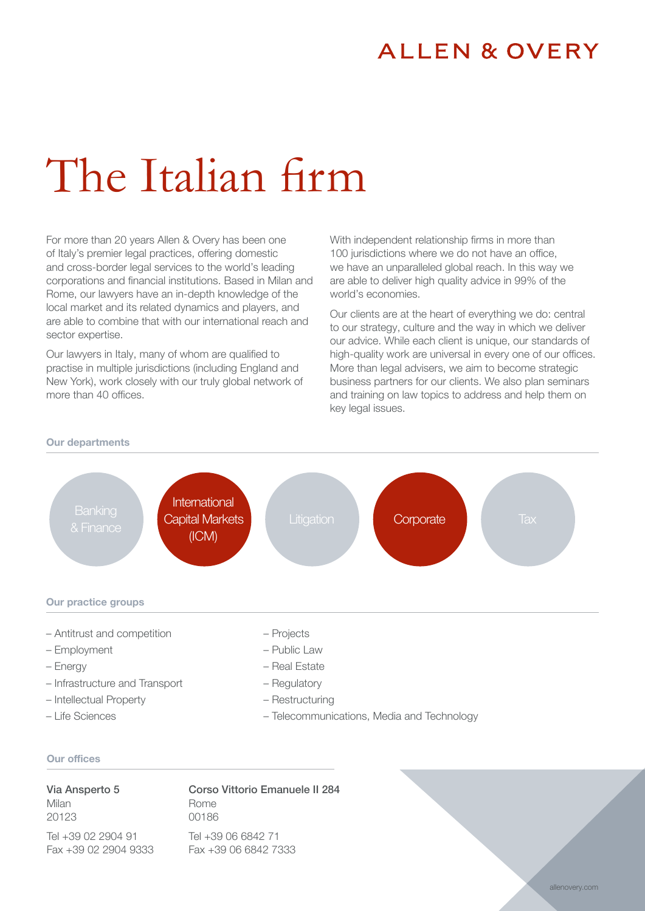## **ALLEN & OVERY**

# The Italian firm

For more than 20 years Allen & Overy has been one of Italy's premier legal practices, offering domestic and cross-border legal services to the world's leading corporations and financial institutions. Based in Milan and Rome, our lawyers have an in-depth knowledge of the local market and its related dynamics and players, and are able to combine that with our international reach and sector expertise.

Our lawyers in Italy, many of whom are qualified to practise in multiple jurisdictions (including England and New York), work closely with our truly global network of more than 40 offices.

With independent relationship firms in more than 100 jurisdictions where we do not have an office, we have an unparalleled global reach. In this way we are able to deliver high quality advice in 99% of the world's economies.

Our clients are at the heart of everything we do: central to our strategy, culture and the way in which we deliver our advice. While each client is unique, our standards of high-quality work are universal in every one of our offices. More than legal advisers, we aim to become strategic business partners for our clients. We also plan seminars and training on law topics to address and help them on key legal issues.

#### Our departments



– Life Sciences

- 
- Telecommunications, Media and Technology

#### Our offices

Via Ansperto 5 Milan 20123

Corso Vittorio Emanuele II 284 Rome

00186

Tel +39 02 2904 91 Fax +39 02 2904 9333

Tel +39 06 6842 71 Fax +39 06 6842 7333